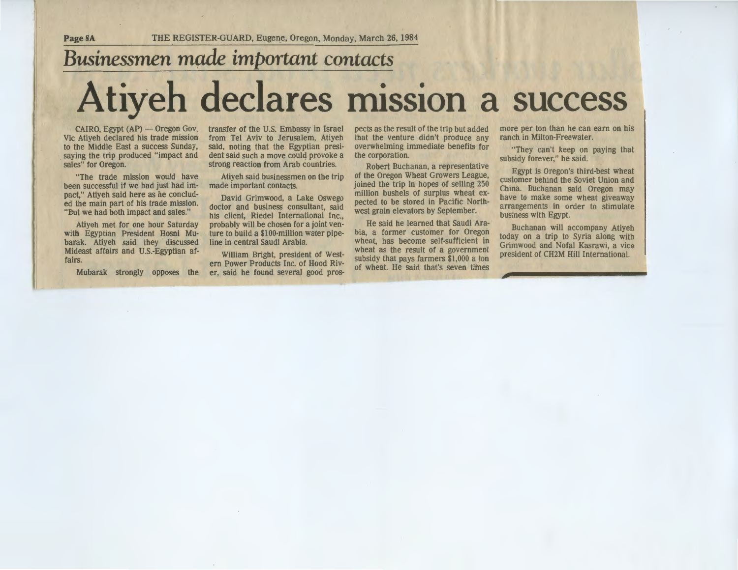**Page8A** THE REGISTER-GUARD, Eugene, Oregon, Monday, March 26, 1984 **Businessmen made important contacts** • • **Atiyeh declares miSSion a success** 

 $CAIRO, Egypt (AP) - Oregon Gov.$ Vic Atiyeh declared his trade mission to the Middle East a success Sunday, saying the trip produced "impact and sales" for Oregon.

"The trade mission would have been successful if we had just had impact," Atiyeh said here as he concluded the main part of his trade mission. "But we had both impact and sales."

Atiyeh met for one hour Saturday with Egyptian President Hosni Mubarak. Atiyeh said they discussed Mideast affairs and U.S.-Egyptian affairs.

Mubarak strongly opposes the

transfer of the U.S. Embassy in Israel from Tel Aviv to Jerusalem, Atiyeh said, noting that the Egyptian president said such a move could provoke a strong reaction from Arab countries.

Atiyeh said businessmen on the trip made important contacts.

David Grimwood, a Lake Oswego doctor and business consultant, said his client, Riedel International Inc., probably will be chosen for a joint venture to build a \$100-million water pipeline in central Saudi Arabia.

William Bright, president of Western Power Products Inc. of Hood River, said he found several good pros-

pects as the result of the trip but added<br>that the venture didn't produce any<br>overwhelming immediate benefits for<br>the corporation.<br>Robert Buchanan, a representative<br>of the Oregon Wheat Growers League,<br>joined the trip in ho pected to be stored in Pacific North-<br>west grain elevators by September.

He said he learned that Saudi Ara-

pects as the result of the trip but added<br>
more per ton than he can earn on his<br>
that the venture didn't produce any<br>
ranch in Milton-Freewater.<br>
overwhelming immediate benefits for<br>
"They can't keep on paying that<br>
subsid